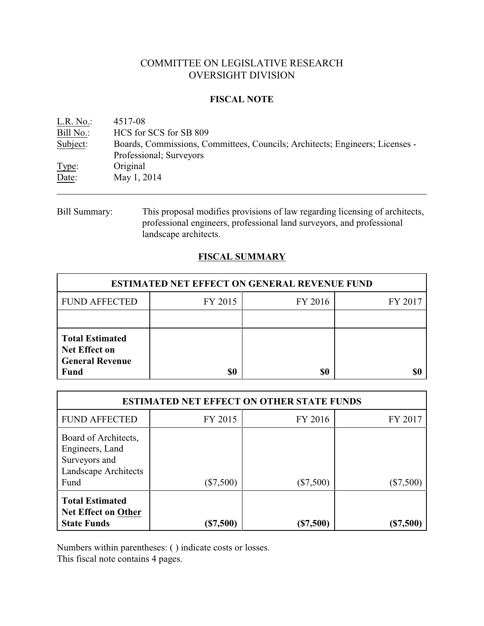# COMMITTEE ON LEGISLATIVE RESEARCH OVERSIGHT DIVISION

## **FISCAL NOTE**

| $L.R. No.$ : | 4517-08                                                                      |
|--------------|------------------------------------------------------------------------------|
| Bill No.:    | HCS for SCS for SB 809                                                       |
| Subject:     | Boards, Commissions, Committees, Councils; Architects; Engineers; Licenses - |
|              | Professional; Surveyors                                                      |
| Type:        | Original                                                                     |
| Date:        | May 1, 2014                                                                  |
|              |                                                                              |

Bill Summary: This proposal modifies provisions of law regarding licensing of architects, professional engineers, professional land surveyors, and professional landscape architects.

# **FISCAL SUMMARY**

| <b>ESTIMATED NET EFFECT ON GENERAL REVENUE FUND</b>                                     |         |         |         |  |
|-----------------------------------------------------------------------------------------|---------|---------|---------|--|
| <b>FUND AFFECTED</b>                                                                    | FY 2015 | FY 2016 | FY 2017 |  |
|                                                                                         |         |         |         |  |
| <b>Total Estimated</b><br><b>Net Effect on</b><br><b>General Revenue</b><br><b>Fund</b> | \$0     | \$0     |         |  |

| <b>ESTIMATED NET EFFECT ON OTHER STATE FUNDS</b>                                         |             |             |           |  |  |
|------------------------------------------------------------------------------------------|-------------|-------------|-----------|--|--|
| <b>FUND AFFECTED</b>                                                                     | FY 2015     | FY 2016     | FY 2017   |  |  |
| Board of Architects,<br>Engineers, Land<br>Surveyors and<br>Landscape Architects<br>Fund | $(\$7,500)$ | $(\$7,500)$ | (\$7,500) |  |  |
| <b>Total Estimated</b><br><b>Net Effect on Other</b><br><b>State Funds</b>               | (\$7,500)   | (\$7,500)   | (\$7,500) |  |  |

Numbers within parentheses: ( ) indicate costs or losses.

This fiscal note contains 4 pages.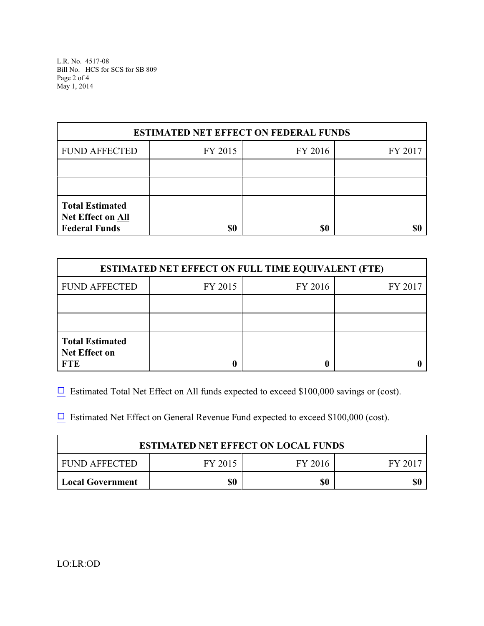L.R. No. 4517-08 Bill No. HCS for SCS for SB 809 Page 2 of 4 May 1, 2014

| <b>ESTIMATED NET EFFECT ON FEDERAL FUNDS</b>                               |         |         |         |  |  |
|----------------------------------------------------------------------------|---------|---------|---------|--|--|
| <b>FUND AFFECTED</b>                                                       | FY 2015 | FY 2016 | FY 2017 |  |  |
|                                                                            |         |         |         |  |  |
|                                                                            |         |         |         |  |  |
| <b>Total Estimated</b><br><b>Net Effect on All</b><br><b>Federal Funds</b> | \$0     | \$0     |         |  |  |

| <b>ESTIMATED NET EFFECT ON FULL TIME EQUIVALENT (FTE)</b>    |         |         |         |  |  |
|--------------------------------------------------------------|---------|---------|---------|--|--|
| <b>FUND AFFECTED</b>                                         | FY 2015 | FY 2016 | FY 2017 |  |  |
|                                                              |         |         |         |  |  |
|                                                              |         |         |         |  |  |
| <b>Total Estimated</b><br><b>Net Effect on</b><br><b>FTE</b> |         |         |         |  |  |

 $\Box$  Estimated Total Net Effect on All funds expected to exceed \$100,000 savings or (cost).

 $\Box$  Estimated Net Effect on General Revenue Fund expected to exceed \$100,000 (cost).

| <b>ESTIMATED NET EFFECT ON LOCAL FUNDS</b>     |     |     |  |  |
|------------------------------------------------|-----|-----|--|--|
| FUND AFFECTED<br>FY 2015<br>FY 2017<br>FY 2016 |     |     |  |  |
| <b>Local Government</b>                        | \$0 | \$0 |  |  |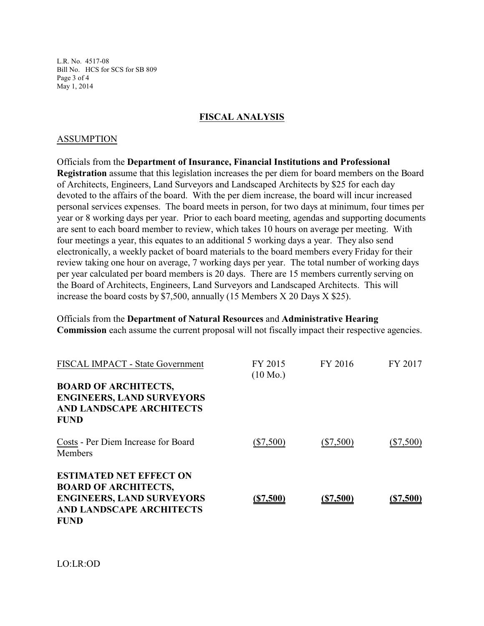L.R. No. 4517-08 Bill No. HCS for SCS for SB 809 Page 3 of 4 May 1, 2014

## **FISCAL ANALYSIS**

#### ASSUMPTION

Officials from the **Department of Insurance, Financial Institutions and Professional Registration** assume that this legislation increases the per diem for board members on the Board of Architects, Engineers, Land Surveyors and Landscaped Architects by \$25 for each day devoted to the affairs of the board. With the per diem increase, the board will incur increased personal services expenses. The board meets in person, for two days at minimum, four times per year or 8 working days per year. Prior to each board meeting, agendas and supporting documents are sent to each board member to review, which takes 10 hours on average per meeting. With four meetings a year, this equates to an additional 5 working days a year. They also send electronically, a weekly packet of board materials to the board members every Friday for their review taking one hour on average, 7 working days per year. The total number of working days per year calculated per board members is 20 days. There are 15 members currently serving on the Board of Architects, Engineers, Land Surveyors and Landscaped Architects. This will increase the board costs by \$7,500, annually (15 Members X 20 Days X \$25).

Officials from the **Department of Natural Resources** and **Administrative Hearing Commission** each assume the current proposal will not fiscally impact their respective agencies.

| FISCAL IMPACT - State Government                                                                                                                    | FY 2015<br>$(10 \text{ Mo.})$ | FY 2016     | FY 2017     |
|-----------------------------------------------------------------------------------------------------------------------------------------------------|-------------------------------|-------------|-------------|
| <b>BOARD OF ARCHITECTS,</b><br><b>ENGINEERS, LAND SURVEYORS</b><br><b>AND LANDSCAPE ARCHITECTS</b><br><b>FUND</b>                                   |                               |             |             |
| Costs - Per Diem Increase for Board<br>Members                                                                                                      | $(\$7,500)$                   | $(\$7,500)$ | $(\$7,500)$ |
| <b>ESTIMATED NET EFFECT ON</b><br><b>BOARD OF ARCHITECTS,</b><br><b>ENGINEERS, LAND SURVEYORS</b><br><b>AND LANDSCAPE ARCHITECTS</b><br><b>FUND</b> | (S7,500)                      | ( \$7,500)  | (\$7,500)   |